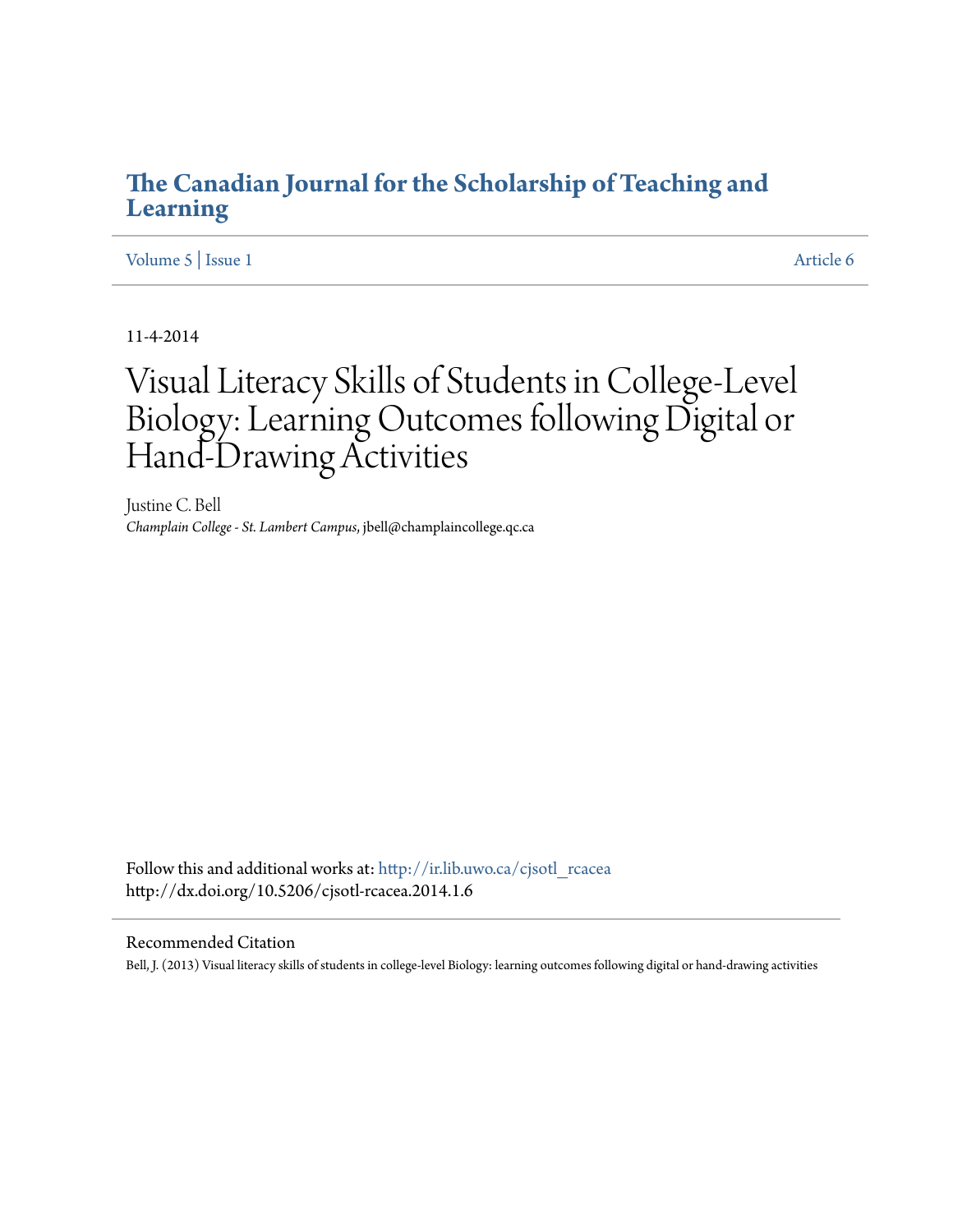### **[The Canadian Journal for the Scholarship of Teaching and](http://ir.lib.uwo.ca/cjsotl_rcacea?utm_source=ir.lib.uwo.ca%2Fcjsotl_rcacea%2Fvol5%2Fiss1%2F6&utm_medium=PDF&utm_campaign=PDFCoverPages) [Learning](http://ir.lib.uwo.ca/cjsotl_rcacea?utm_source=ir.lib.uwo.ca%2Fcjsotl_rcacea%2Fvol5%2Fiss1%2F6&utm_medium=PDF&utm_campaign=PDFCoverPages)**

[Volume 5](http://ir.lib.uwo.ca/cjsotl_rcacea/vol5?utm_source=ir.lib.uwo.ca%2Fcjsotl_rcacea%2Fvol5%2Fiss1%2F6&utm_medium=PDF&utm_campaign=PDFCoverPages) | [Issue 1](http://ir.lib.uwo.ca/cjsotl_rcacea/vol5/iss1?utm_source=ir.lib.uwo.ca%2Fcjsotl_rcacea%2Fvol5%2Fiss1%2F6&utm_medium=PDF&utm_campaign=PDFCoverPages) [Article 6](http://ir.lib.uwo.ca/cjsotl_rcacea/vol5/iss1/6?utm_source=ir.lib.uwo.ca%2Fcjsotl_rcacea%2Fvol5%2Fiss1%2F6&utm_medium=PDF&utm_campaign=PDFCoverPages)

11-4-2014

# Visual Literacy Skills of Students in College-Level Biology: Learning Outcomes following Digital or Hand-Drawing Activities

Justine C. Bell *Champlain College - St. Lambert Campus*, jbell@champlaincollege.qc.ca

Follow this and additional works at: [http://ir.lib.uwo.ca/cjsotl\\_rcacea](http://ir.lib.uwo.ca/cjsotl_rcacea?utm_source=ir.lib.uwo.ca%2Fcjsotl_rcacea%2Fvol5%2Fiss1%2F6&utm_medium=PDF&utm_campaign=PDFCoverPages) http://dx.doi.org/10.5206/cjsotl-rcacea.2014.1.6

#### Recommended Citation

Bell, J. (2013) Visual literacy skills of students in college-level Biology: learning outcomes following digital or hand-drawing activities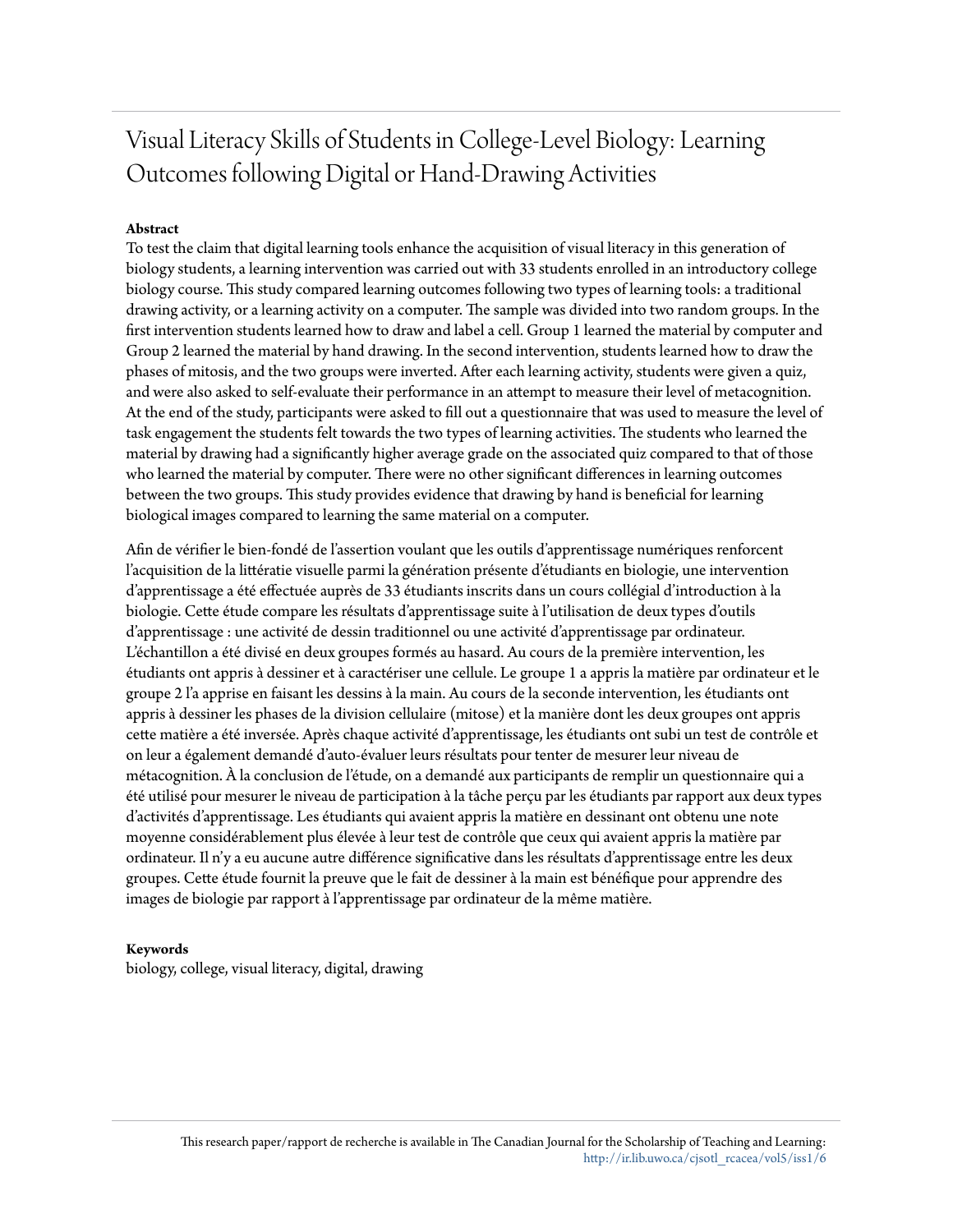## Visual Literacy Skills of Students in College-Level Biology: Learning Outcomes following Digital or Hand-Drawing Activities

#### **Abstract**

To test the claim that digital learning tools enhance the acquisition of visual literacy in this generation of biology students, a learning intervention was carried out with 33 students enrolled in an introductory college biology course. This study compared learning outcomes following two types of learning tools: a traditional drawing activity, or a learning activity on a computer. The sample was divided into two random groups. In the first intervention students learned how to draw and label a cell. Group 1 learned the material by computer and Group 2 learned the material by hand drawing. In the second intervention, students learned how to draw the phases of mitosis, and the two groups were inverted. After each learning activity, students were given a quiz, and were also asked to self-evaluate their performance in an attempt to measure their level of metacognition. At the end of the study, participants were asked to fill out a questionnaire that was used to measure the level of task engagement the students felt towards the two types of learning activities. The students who learned the material by drawing had a significantly higher average grade on the associated quiz compared to that of those who learned the material by computer. There were no other significant differences in learning outcomes between the two groups. This study provides evidence that drawing by hand is beneficial for learning biological images compared to learning the same material on a computer.

Afin de vérifier le bien-fondé de l'assertion voulant que les outils d'apprentissage numériques renforcent l'acquisition de la littératie visuelle parmi la génération présente d'étudiants en biologie, une intervention d'apprentissage a été effectuée auprès de 33 étudiants inscrits dans un cours collégial d'introduction à la biologie. Cette étude compare les résultats d'apprentissage suite à l'utilisation de deux types d'outils d'apprentissage : une activité de dessin traditionnel ou une activité d'apprentissage par ordinateur. L'échantillon a été divisé en deux groupes formés au hasard. Au cours de la première intervention, les étudiants ont appris à dessiner et à caractériser une cellule. Le groupe 1 a appris la matière par ordinateur et le groupe 2 l'a apprise en faisant les dessins à la main. Au cours de la seconde intervention, les étudiants ont appris à dessiner les phases de la division cellulaire (mitose) et la manière dont les deux groupes ont appris cette matière a été inversée. Après chaque activité d'apprentissage, les étudiants ont subi un test de contrôle et on leur a également demandé d'auto-évaluer leurs résultats pour tenter de mesurer leur niveau de métacognition. À la conclusion de l'étude, on a demandé aux participants de remplir un questionnaire qui a été utilisé pour mesurer le niveau de participation à la tâche perçu par les étudiants par rapport aux deux types d'activités d'apprentissage. Les étudiants qui avaient appris la matière en dessinant ont obtenu une note moyenne considérablement plus élevée à leur test de contrôle que ceux qui avaient appris la matière par ordinateur. Il n'y a eu aucune autre différence significative dans les résultats d'apprentissage entre les deux groupes. Cette étude fournit la preuve que le fait de dessiner à la main est bénéfique pour apprendre des images de biologie par rapport à l'apprentissage par ordinateur de la même matière.

#### **Keywords**

biology, college, visual literacy, digital, drawing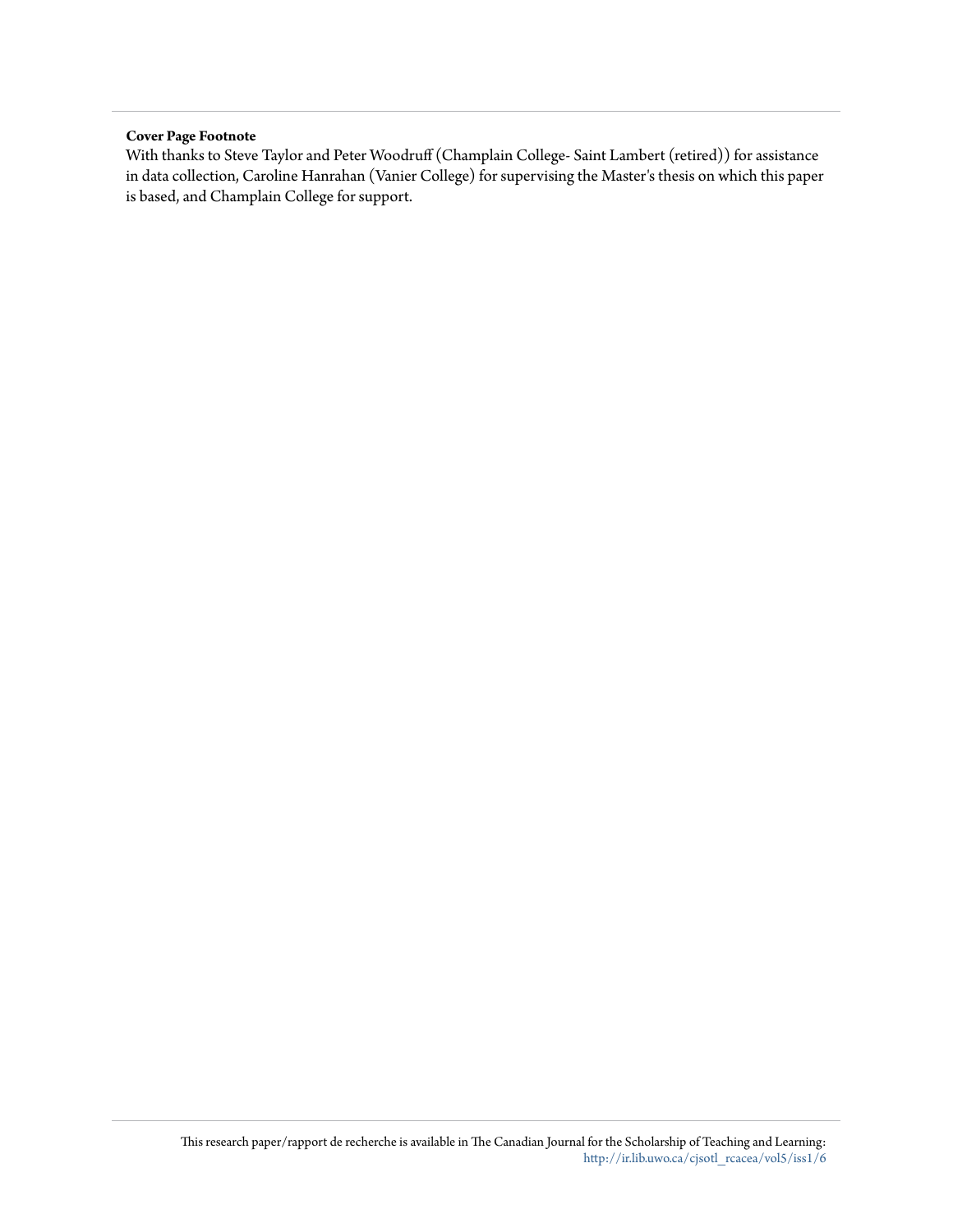#### **Cover Page Footnote**

With thanks to Steve Taylor and Peter Woodruff (Champlain College- Saint Lambert (retired)) for assistance in data collection, Caroline Hanrahan (Vanier College) for supervising the Master's thesis on which this paper is based, and Champlain College for support.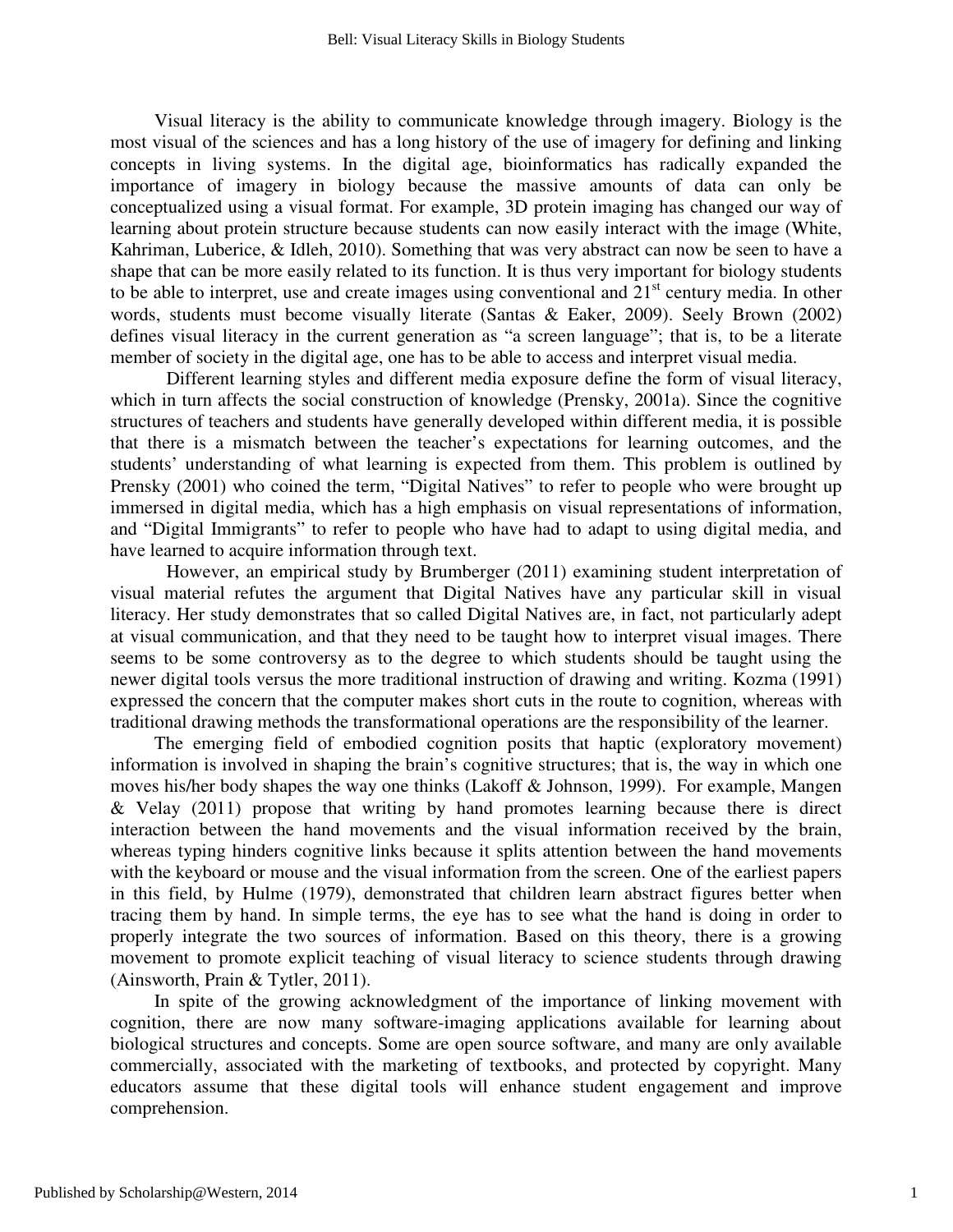Visual literacy is the ability to communicate knowledge through imagery. Biology is the most visual of the sciences and has a long history of the use of imagery for defining and linking concepts in living systems. In the digital age, bioinformatics has radically expanded the importance of imagery in biology because the massive amounts of data can only be conceptualized using a visual format. For example, 3D protein imaging has changed our way of learning about protein structure because students can now easily interact with the image (White, Kahriman, Luberice, & Idleh, 2010). Something that was very abstract can now be seen to have a shape that can be more easily related to its function. It is thus very important for biology students to be able to interpret, use and create images using conventional and  $21<sup>st</sup>$  century media. In other words, students must become visually literate (Santas & Eaker, 2009). Seely Brown (2002) defines visual literacy in the current generation as "a screen language"; that is, to be a literate member of society in the digital age, one has to be able to access and interpret visual media.

 Different learning styles and different media exposure define the form of visual literacy, which in turn affects the social construction of knowledge (Prensky, 2001a). Since the cognitive structures of teachers and students have generally developed within different media, it is possible that there is a mismatch between the teacher's expectations for learning outcomes, and the students' understanding of what learning is expected from them. This problem is outlined by Prensky (2001) who coined the term, "Digital Natives" to refer to people who were brought up immersed in digital media, which has a high emphasis on visual representations of information, and "Digital Immigrants" to refer to people who have had to adapt to using digital media, and have learned to acquire information through text.

However, an empirical study by Brumberger (2011) examining student interpretation of visual material refutes the argument that Digital Natives have any particular skill in visual literacy. Her study demonstrates that so called Digital Natives are, in fact, not particularly adept at visual communication, and that they need to be taught how to interpret visual images. There seems to be some controversy as to the degree to which students should be taught using the newer digital tools versus the more traditional instruction of drawing and writing. Kozma (1991) expressed the concern that the computer makes short cuts in the route to cognition, whereas with traditional drawing methods the transformational operations are the responsibility of the learner.

The emerging field of embodied cognition posits that haptic (exploratory movement) information is involved in shaping the brain's cognitive structures; that is, the way in which one moves his/her body shapes the way one thinks (Lakoff & Johnson, 1999). For example, Mangen & Velay (2011) propose that writing by hand promotes learning because there is direct interaction between the hand movements and the visual information received by the brain, whereas typing hinders cognitive links because it splits attention between the hand movements with the keyboard or mouse and the visual information from the screen. One of the earliest papers in this field, by Hulme (1979), demonstrated that children learn abstract figures better when tracing them by hand. In simple terms, the eye has to see what the hand is doing in order to properly integrate the two sources of information. Based on this theory, there is a growing movement to promote explicit teaching of visual literacy to science students through drawing (Ainsworth, Prain & Tytler, 2011).

In spite of the growing acknowledgment of the importance of linking movement with cognition, there are now many software-imaging applications available for learning about biological structures and concepts. Some are open source software, and many are only available commercially, associated with the marketing of textbooks, and protected by copyright. Many educators assume that these digital tools will enhance student engagement and improve comprehension.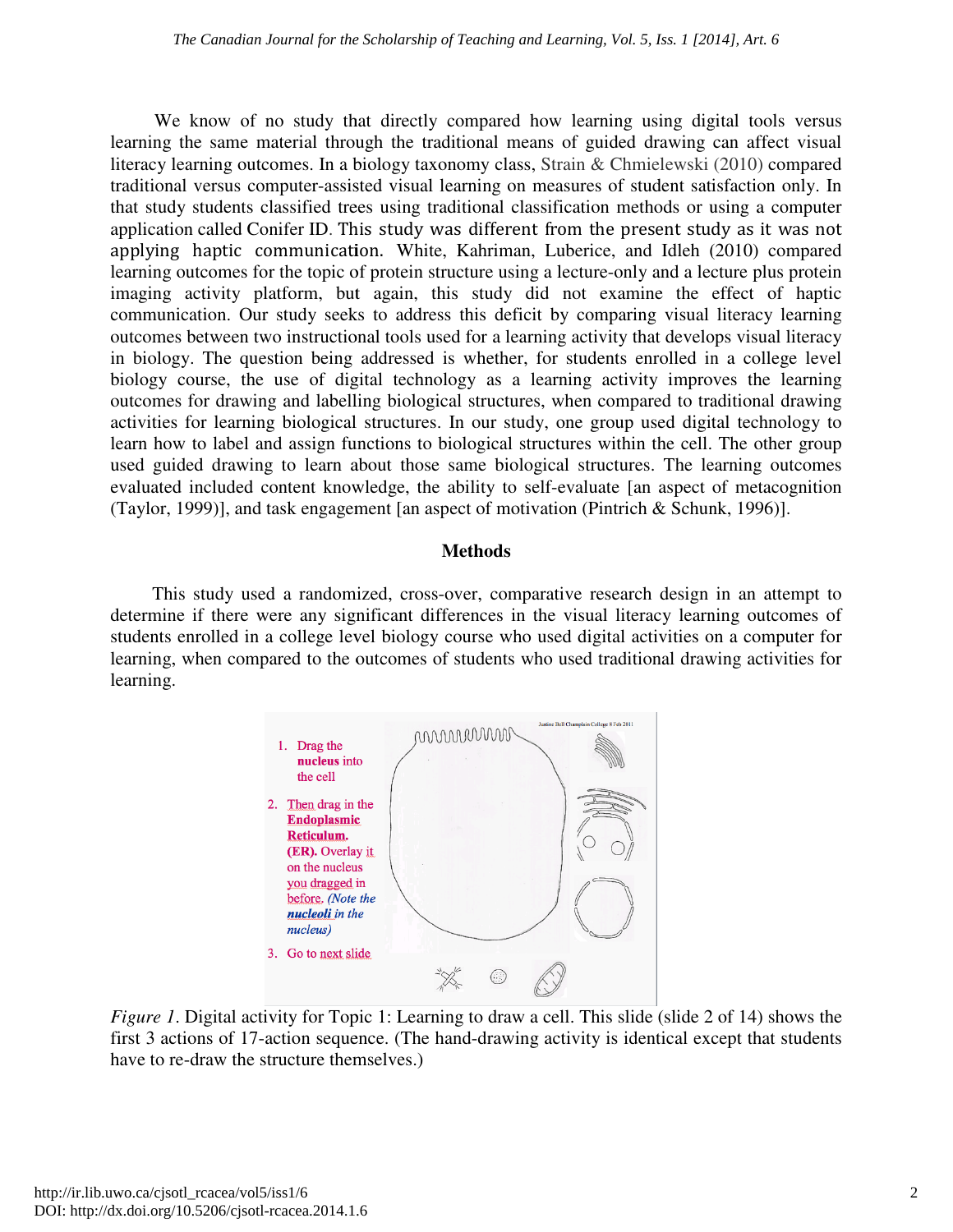We know of no study that directly compared how learning using digital tools versus learning the same material through the traditional means of guided drawing can affect visual learning the same material through the traditional means of guided drawing<br>literacy learning outcomes. In a biology taxonomy class, Strain & Chmielewski traditional versus computer-assisted visual learning on measures of student satisfaction only. In that study students classified trees using traditional classification methods or using a computer application called Conifer ID. This study was different from the present study as it was not applying haptic communication. White, Kahriman, Luberice, and Idleh (2010) (2010) compared learning outcomes for the topic of protein structure using a lecture-only and a lecture plus protein imaging activity platform, but again, this study did not examine the effect of haptic communication. Our study seeks to address this deficit by comparing visual literacy learning outcomes between two instructional tools used for a learning activi in biology. The question being addressed is whether, for students enrolled in a college level biology course, the use of digital technology as a learning activity improves the learning outcomes for drawing and labelling biological structures, when compared to traditional drawing activities for learning biological structures. In our study, one group used digital technology to learn how to label and assign functions to biological structures within the cell. The other used guided drawing to learn about those same biological structures. The learning outcomes used guided drawing to learn about those same biological structures. The learning outcomes evaluated included content knowledge, the ability to self-evaluate [an aspect of metacognition (Taylor, 1999)], and task engagement [an aspect of motivation (Pintrich & Schunk, 1996 fform, but again, this study did not examine the effect of haptic<br>study seeks to address this deficit by comparing visual literacy learning<br>p instructional tools used for a learning activity that develops visual literacy in biology. The question being addressed is whether, for students enrolled in a college level<br>biology course, the use of digital technology as a learning activity improves the learning<br>outcomes for drawing and labelling bi learning using digital tools versus<br>f guided drawing can affect visual<br>in & Chmielewski (2010) compared , but again, this study did not examine the effect of haptic seeks to address this deficit by comparing visual literacy learning uctional tools used for a learning activity that develops visual literacy eeing addressed is metacognition 1996)].

#### **Methods**

This study used a randomized, cross-over, comparative research design in an attempt to determine if there were any significant differences in the visual literacy learning outcomes of determine if there were any significant differences in the visual literacy learning outcomes of students enrolled in a college level biology course who used digital activities on a computer for learning, when compared to the outcomes of students who used traditional drawing activities for learning.



*Figure 1*. Digital activity for Topic 1: Learning to draw a cell. This slide (slide 2 of 14) shows the first 3 actions of 17-action sequence. (The hand-drawing activity is identical except that students first 3 actions of 17-action sequence. (The hand-drawing activity is identical except that students have to re-draw the structure themselves.)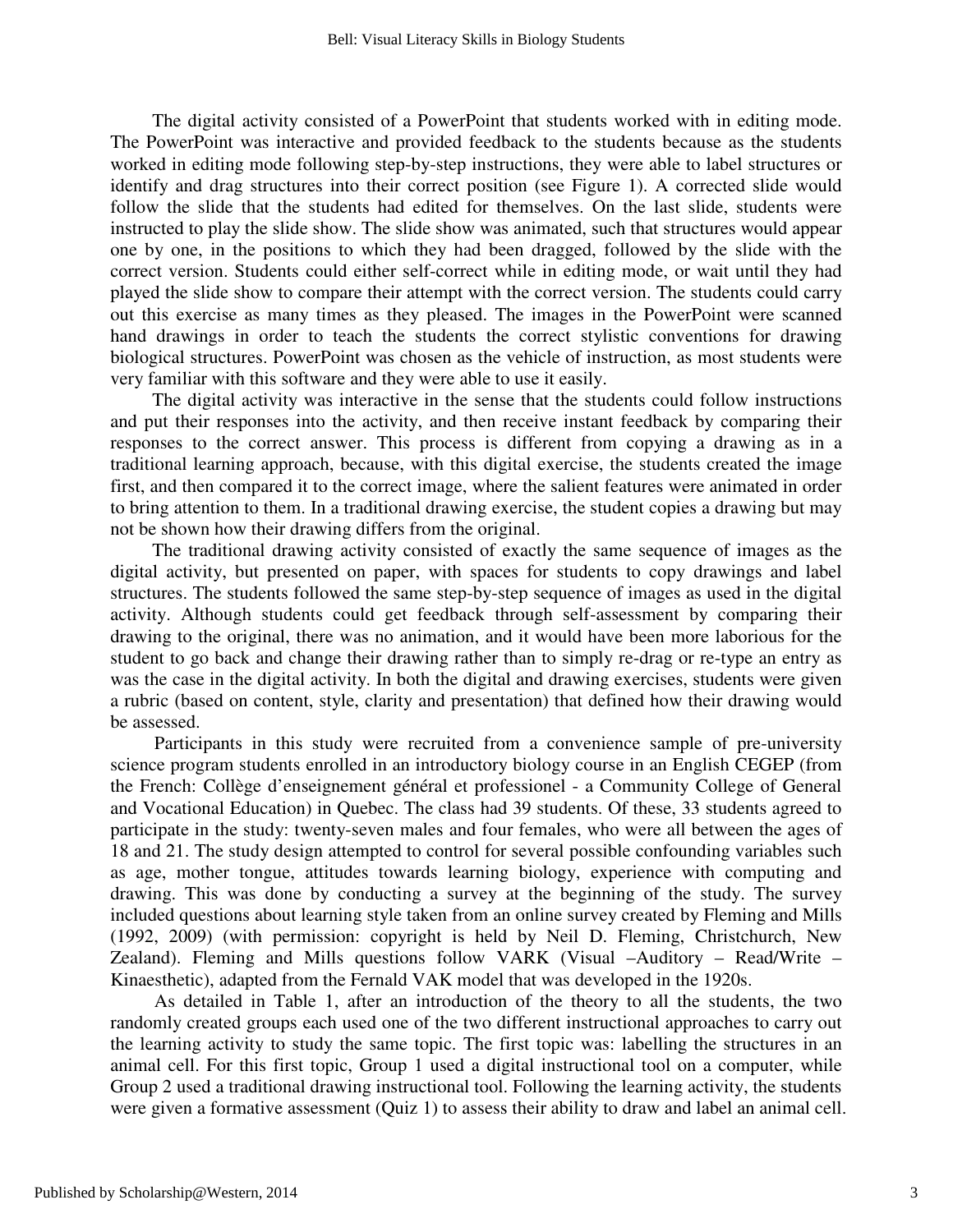The digital activity consisted of a PowerPoint that students worked with in editing mode. The PowerPoint was interactive and provided feedback to the students because as the students worked in editing mode following step-by-step instructions, they were able to label structures or identify and drag structures into their correct position (see Figure 1). A corrected slide would follow the slide that the students had edited for themselves. On the last slide, students were instructed to play the slide show. The slide show was animated, such that structures would appear one by one, in the positions to which they had been dragged, followed by the slide with the correct version. Students could either self-correct while in editing mode, or wait until they had played the slide show to compare their attempt with the correct version. The students could carry out this exercise as many times as they pleased. The images in the PowerPoint were scanned hand drawings in order to teach the students the correct stylistic conventions for drawing biological structures. PowerPoint was chosen as the vehicle of instruction, as most students were very familiar with this software and they were able to use it easily.

The digital activity was interactive in the sense that the students could follow instructions and put their responses into the activity, and then receive instant feedback by comparing their responses to the correct answer. This process is different from copying a drawing as in a traditional learning approach, because, with this digital exercise, the students created the image first, and then compared it to the correct image, where the salient features were animated in order to bring attention to them. In a traditional drawing exercise, the student copies a drawing but may not be shown how their drawing differs from the original.

The traditional drawing activity consisted of exactly the same sequence of images as the digital activity, but presented on paper, with spaces for students to copy drawings and label structures. The students followed the same step-by-step sequence of images as used in the digital activity. Although students could get feedback through self-assessment by comparing their drawing to the original, there was no animation, and it would have been more laborious for the student to go back and change their drawing rather than to simply re-drag or re-type an entry as was the case in the digital activity. In both the digital and drawing exercises, students were given a rubric (based on content, style, clarity and presentation) that defined how their drawing would be assessed.

Participants in this study were recruited from a convenience sample of pre-university science program students enrolled in an introductory biology course in an English CEGEP (from the French: Collège d'enseignement général et professionel - a Community College of General and Vocational Education) in Quebec. The class had 39 students. Of these, 33 students agreed to participate in the study: twenty-seven males and four females, who were all between the ages of 18 and 21. The study design attempted to control for several possible confounding variables such as age, mother tongue, attitudes towards learning biology, experience with computing and drawing. This was done by conducting a survey at the beginning of the study. The survey included questions about learning style taken from an online survey created by Fleming and Mills (1992, 2009) (with permission: copyright is held by Neil D. Fleming, Christchurch, New Zealand). Fleming and Mills questions follow VARK (Visual –Auditory – Read/Write – Kinaesthetic), adapted from the Fernald VAK model that was developed in the 1920s.

As detailed in Table 1, after an introduction of the theory to all the students, the two randomly created groups each used one of the two different instructional approaches to carry out the learning activity to study the same topic. The first topic was: labelling the structures in an animal cell. For this first topic, Group 1 used a digital instructional tool on a computer, while Group 2 used a traditional drawing instructional tool. Following the learning activity, the students were given a formative assessment (Quiz 1) to assess their ability to draw and label an animal cell.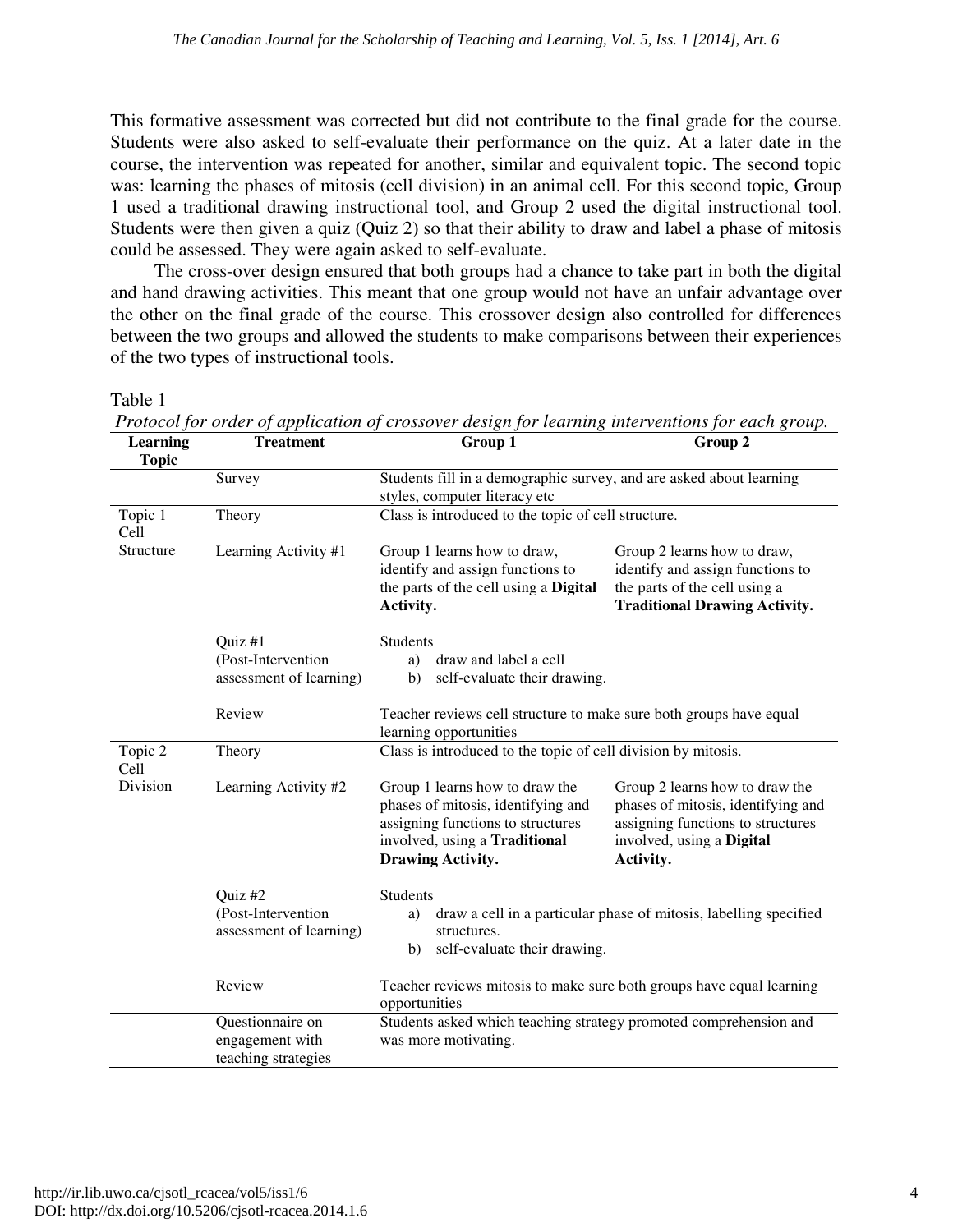This formative assessment was corrected but did not contribute to the final grade for the course. Students were also asked to self-evaluate their performance on the quiz. At a later date in the course, the intervention was repeated for another, similar and equivalent topic. The second topic was: learning the phases of mitosis (cell division) in an animal cell. For this second topic, Group 1 used a traditional drawing instructional tool, and Group 2 used the digital instructional tool. Students were then given a quiz (Quiz 2) so that their ability to draw and label a phase of mitosis could be assessed. They were again asked to self-evaluate.

The cross-over design ensured that both groups had a chance to take part in both the digital and hand drawing activities. This meant that one group would not have an unfair advantage over the other on the final grade of the course. This crossover design also controlled for differences between the two groups and allowed the students to make comparisons between their experiences of the two types of instructional tools.

Table 1

| Learning<br><b>Topic</b> | <b>Treatment</b>                                           | $\frac{1}{2}$ $\frac{1}{2}$ $\frac{1}{2}$ $\frac{1}{2}$ $\frac{1}{2}$ $\frac{1}{2}$ $\frac{1}{2}$ $\frac{1}{2}$ $\frac{1}{2}$ $\frac{1}{2}$ $\frac{1}{2}$ $\frac{1}{2}$ $\frac{1}{2}$ $\frac{1}{2}$ $\frac{1}{2}$ $\frac{1}{2}$ $\frac{1}{2}$ $\frac{1}{2}$ $\frac{1}{2}$ $\frac{1}{2}$ $\frac{1}{2}$ $\frac{1}{2}$<br>Group 1 | Group 2                                                                                                                                             |  |  |  |
|--------------------------|------------------------------------------------------------|--------------------------------------------------------------------------------------------------------------------------------------------------------------------------------------------------------------------------------------------------------------------------------------------------------------------------------|-----------------------------------------------------------------------------------------------------------------------------------------------------|--|--|--|
|                          | Survey                                                     | Students fill in a demographic survey, and are asked about learning                                                                                                                                                                                                                                                            |                                                                                                                                                     |  |  |  |
|                          |                                                            | styles, computer literacy etc                                                                                                                                                                                                                                                                                                  |                                                                                                                                                     |  |  |  |
| Topic 1<br>Cell          | Theory                                                     | Class is introduced to the topic of cell structure.                                                                                                                                                                                                                                                                            |                                                                                                                                                     |  |  |  |
| Structure                | Learning Activity #1                                       | Group 1 learns how to draw,<br>identify and assign functions to<br>the parts of the cell using a Digital<br>Activity.                                                                                                                                                                                                          | Group 2 learns how to draw,<br>identify and assign functions to<br>the parts of the cell using a<br><b>Traditional Drawing Activity.</b>            |  |  |  |
|                          | Quiz #1                                                    | <b>Students</b>                                                                                                                                                                                                                                                                                                                |                                                                                                                                                     |  |  |  |
|                          | (Post-Intervention                                         | draw and label a cell<br>a)                                                                                                                                                                                                                                                                                                    |                                                                                                                                                     |  |  |  |
|                          | assessment of learning)                                    | self-evaluate their drawing.<br>b)                                                                                                                                                                                                                                                                                             |                                                                                                                                                     |  |  |  |
|                          | Review                                                     | Teacher reviews cell structure to make sure both groups have equal<br>learning opportunities                                                                                                                                                                                                                                   |                                                                                                                                                     |  |  |  |
| Topic 2<br>Cell          | Theory                                                     | Class is introduced to the topic of cell division by mitosis.                                                                                                                                                                                                                                                                  |                                                                                                                                                     |  |  |  |
| Division                 | Learning Activity #2                                       | Group 1 learns how to draw the<br>phases of mitosis, identifying and<br>assigning functions to structures<br>involved, using a Traditional<br>Drawing Activity.                                                                                                                                                                | Group 2 learns how to draw the<br>phases of mitosis, identifying and<br>assigning functions to structures<br>involved, using a Digital<br>Activity. |  |  |  |
|                          | Quiz #2<br>(Post-Intervention<br>assessment of learning)   | <b>Students</b><br>draw a cell in a particular phase of mitosis, labelling specified<br>a)<br>structures.<br>self-evaluate their drawing.<br>b)                                                                                                                                                                                |                                                                                                                                                     |  |  |  |
|                          | Review                                                     | Teacher reviews mitosis to make sure both groups have equal learning<br>opportunities                                                                                                                                                                                                                                          |                                                                                                                                                     |  |  |  |
|                          | Questionnaire on<br>engagement with<br>teaching strategies | Students asked which teaching strategy promoted comprehension and<br>was more motivating.                                                                                                                                                                                                                                      |                                                                                                                                                     |  |  |  |

*Protocol for order of application of crossover design for learning interventions for each group.*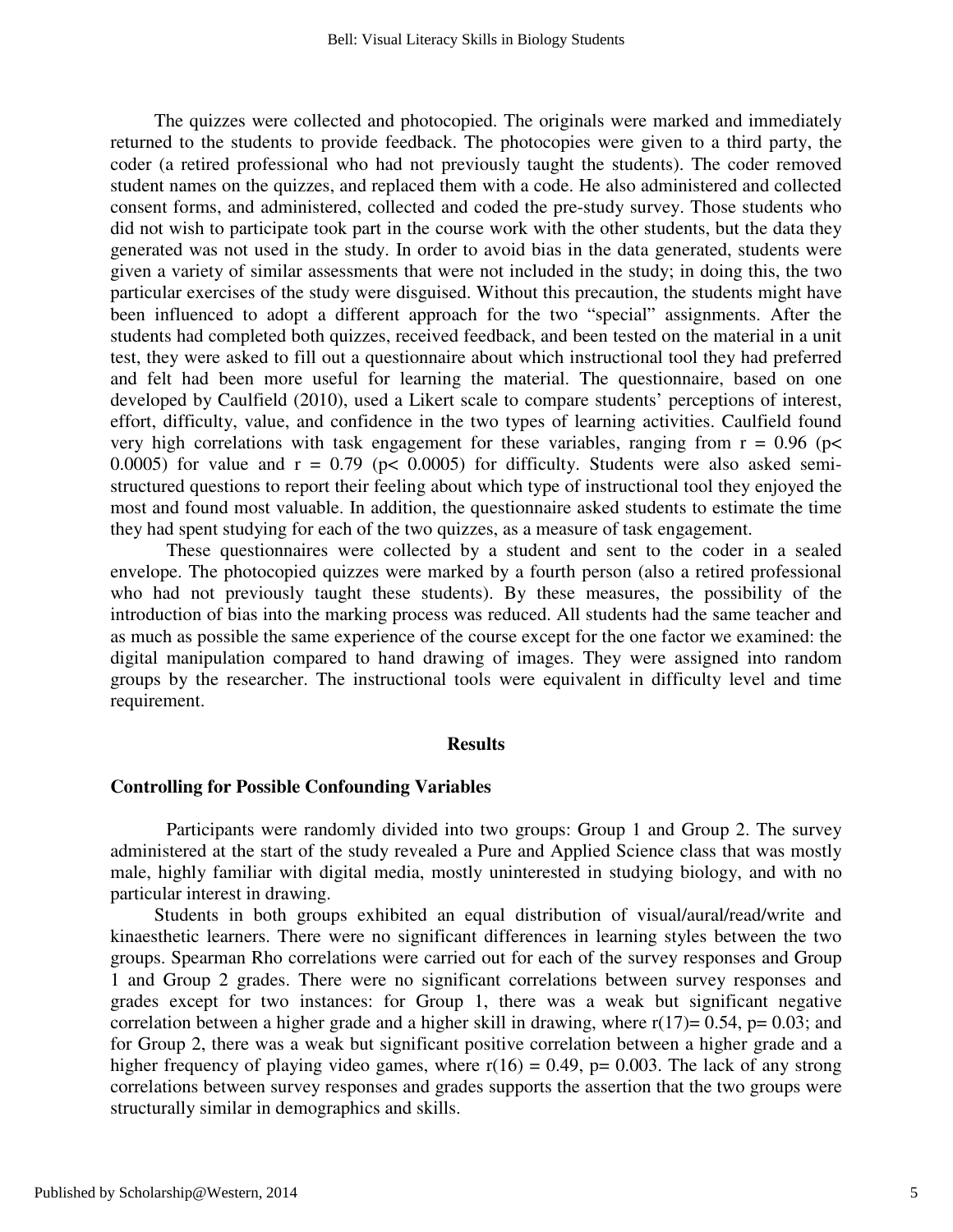The quizzes were collected and photocopied. The originals were marked and immediately returned to the students to provide feedback. The photocopies were given to a third party, the coder (a retired professional who had not previously taught the students). The coder removed student names on the quizzes, and replaced them with a code. He also administered and collected consent forms, and administered, collected and coded the pre-study survey. Those students who did not wish to participate took part in the course work with the other students, but the data they generated was not used in the study. In order to avoid bias in the data generated, students were given a variety of similar assessments that were not included in the study; in doing this, the two particular exercises of the study were disguised. Without this precaution, the students might have been influenced to adopt a different approach for the two "special" assignments. After the students had completed both quizzes, received feedback, and been tested on the material in a unit test, they were asked to fill out a questionnaire about which instructional tool they had preferred and felt had been more useful for learning the material. The questionnaire, based on one developed by Caulfield (2010), used a Likert scale to compare students' perceptions of interest, effort, difficulty, value, and confidence in the two types of learning activities. Caulfield found very high correlations with task engagement for these variables, ranging from  $r = 0.96$  ( $p <$ 0.0005) for value and  $r = 0.79$  ( $p < 0.0005$ ) for difficulty. Students were also asked semistructured questions to report their feeling about which type of instructional tool they enjoyed the most and found most valuable. In addition, the questionnaire asked students to estimate the time they had spent studying for each of the two quizzes, as a measure of task engagement.

These questionnaires were collected by a student and sent to the coder in a sealed envelope. The photocopied quizzes were marked by a fourth person (also a retired professional who had not previously taught these students). By these measures, the possibility of the introduction of bias into the marking process was reduced. All students had the same teacher and as much as possible the same experience of the course except for the one factor we examined: the digital manipulation compared to hand drawing of images. They were assigned into random groups by the researcher. The instructional tools were equivalent in difficulty level and time requirement.

#### **Results**

#### **Controlling for Possible Confounding Variables**

Participants were randomly divided into two groups: Group 1 and Group 2. The survey administered at the start of the study revealed a Pure and Applied Science class that was mostly male, highly familiar with digital media, mostly uninterested in studying biology, and with no particular interest in drawing.

Students in both groups exhibited an equal distribution of visual/aural/read/write and kinaesthetic learners. There were no significant differences in learning styles between the two groups. Spearman Rho correlations were carried out for each of the survey responses and Group 1 and Group 2 grades. There were no significant correlations between survey responses and grades except for two instances: for Group 1, there was a weak but significant negative correlation between a higher grade and a higher skill in drawing, where  $r(17)= 0.54$ ,  $p= 0.03$ ; and for Group 2, there was a weak but significant positive correlation between a higher grade and a higher frequency of playing video games, where  $r(16) = 0.49$ , p= 0.003. The lack of any strong correlations between survey responses and grades supports the assertion that the two groups were structurally similar in demographics and skills.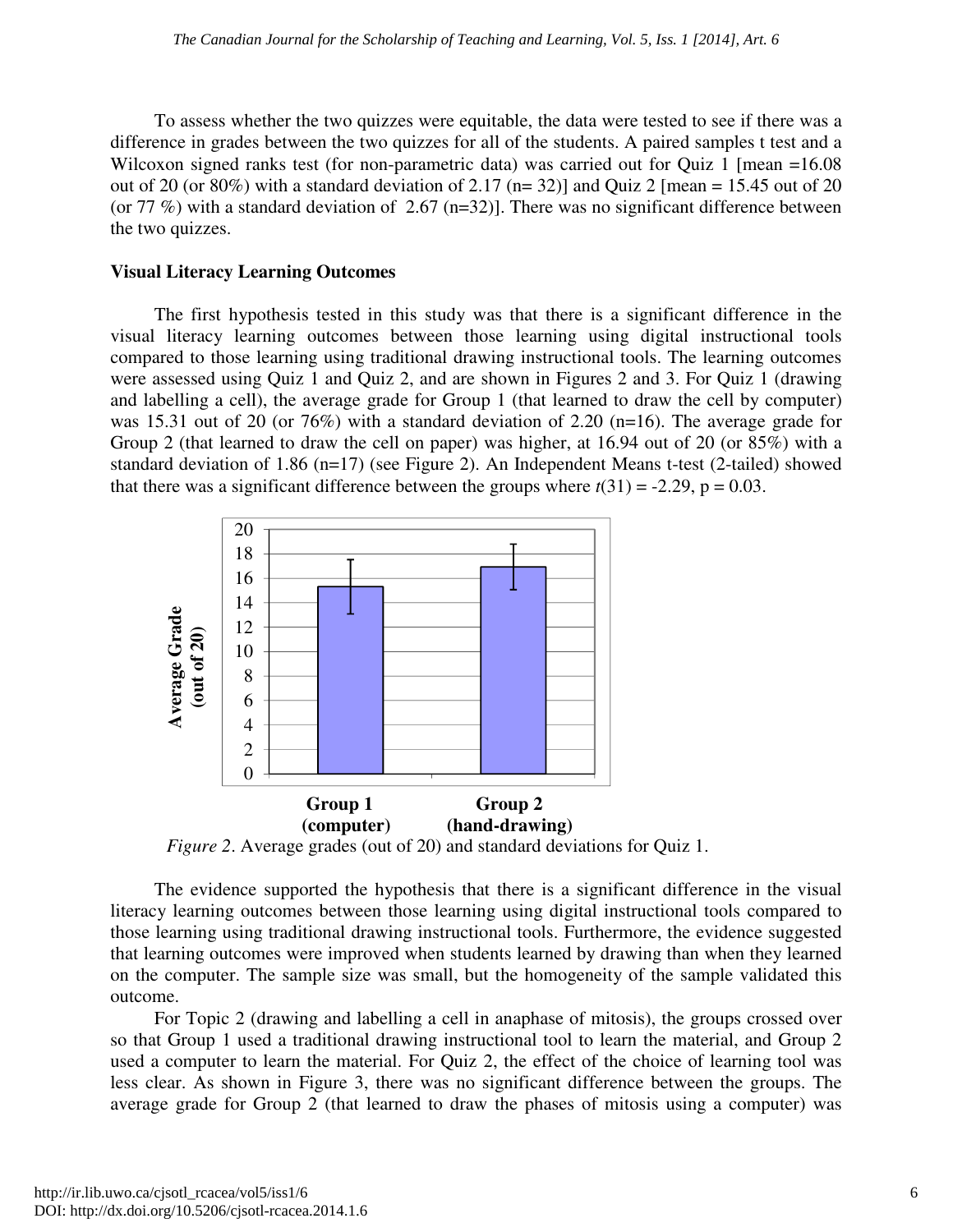To assess whether the two quizzes were equitable, the data were tested to see if there was a difference in grades between the two quizzes for all of the students. A paired samples t test and a Wilcoxon signed ranks test (for non-parametric data) was carried out for Quiz 1 [mean =16.08] out of 20 (or 80%) with a standard deviation of 2.17 ( $n=32$ )] and Quiz 2 [mean = 15.45 out of 20 (or 77 %) with a standard deviation of 2.67 (n=32)]. There was no significant difference between the two quizzes.

#### **Visual Literacy Learning Outcomes**

The first hypothesis tested in this study was that there is a significant difference in the visual literacy learning outcomes between those learning using digital instructional tools compared to those learning using traditional drawing instructional tools. The learning outcomes were assessed using Quiz 1 and Quiz 2, and are shown in Figures 2 and 3. For Quiz 1 (drawing and labelling a cell), the average grade for Group 1 (that learned to draw the cell by computer) was 15.31 out of 20 (or 76%) with a standard deviation of 2.20 (n=16). The average grade for Group 2 (that learned to draw the cell on paper) was higher, at 16.94 out of 20 (or 85%) with a standard deviation of 1.86 (n=17) (see Figure 2). An Independent Means t-test (2-tailed) showed that there was a significant difference between the groups where  $t(31) = -2.29$ ,  $p = 0.03$ .



*Figure 2*. Average grades (out of 20) and standard deviations for Quiz 1.

The evidence supported the hypothesis that there is a significant difference in the visual literacy learning outcomes between those learning using digital instructional tools compared to those learning using traditional drawing instructional tools. Furthermore, the evidence suggested that learning outcomes were improved when students learned by drawing than when they learned on the computer. The sample size was small, but the homogeneity of the sample validated this outcome.

For Topic 2 (drawing and labelling a cell in anaphase of mitosis), the groups crossed over so that Group 1 used a traditional drawing instructional tool to learn the material, and Group 2 used a computer to learn the material. For Quiz 2, the effect of the choice of learning tool was less clear. As shown in Figure 3, there was no significant difference between the groups. The average grade for Group 2 (that learned to draw the phases of mitosis using a computer) was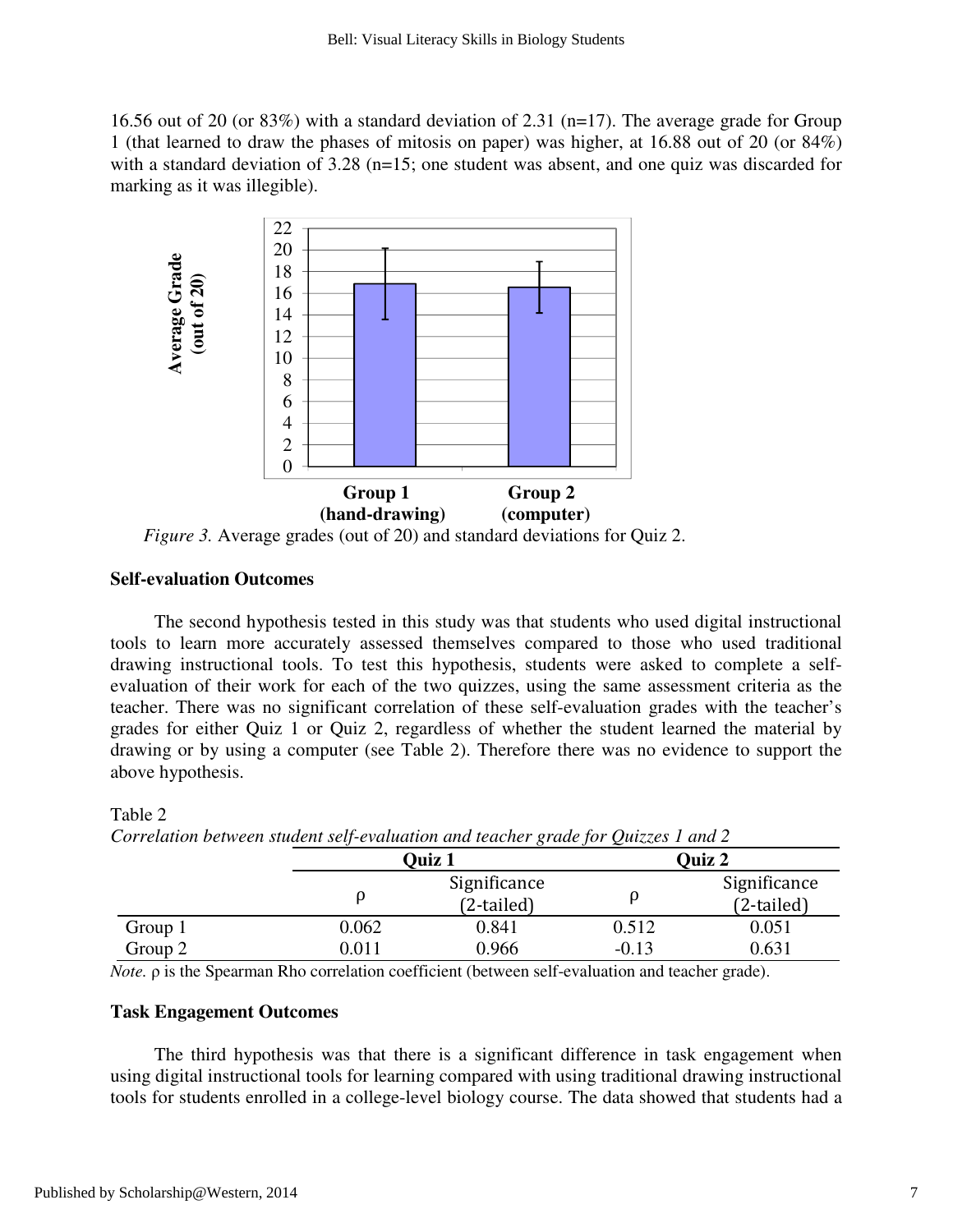16.56 out of 20 (or 83%) with a standard deviation of 2.31 ( $n=17$ ). The average grade for Group 1 (that learned to draw the phases of mitosis on paper) was higher, at 16.88 out of 20 (or 84%) with a standard deviation of  $3.28$  (n=15; one student was absent, and one quiz was discarded for marking as it was illegible).



*Figure 3.* Average grades (out of 20) and standard deviations for Quiz 2.

#### **Self-evaluation Outcomes**

The second hypothesis tested in this study was that students who used digital instructional tools to learn more accurately assessed themselves compared to those who used traditional drawing instructional tools. To test this hypothesis, students were asked to complete a selfevaluation of their work for each of the two quizzes, using the same assessment criteria as the teacher. There was no significant correlation of these self-evaluation grades with the teacher's grades for either Quiz 1 or Quiz 2, regardless of whether the student learned the material by drawing or by using a computer (see Table 2). Therefore there was no evidence to support the above hypothesis.

| Corretation between statem self-evaluation and leacher grade for Quizzes I and 2 |               |              |         |              |  |  |
|----------------------------------------------------------------------------------|---------------|--------------|---------|--------------|--|--|
|                                                                                  | <b>Ouiz 1</b> |              | Quiz 2  |              |  |  |
|                                                                                  |               | Significance |         | Significance |  |  |
|                                                                                  |               | $(2-tailed)$ |         | $(2-tailed)$ |  |  |
| Group 1                                                                          | 0.062         | 0.841        | 0.512   | 0.051        |  |  |
| Group 2                                                                          | 0.011         | 0.966        | $-0.13$ | 0.631        |  |  |

Table 2 *Correlation between student self-evaluation and teacher grade for Quizzes 1 and 2* 

*Note.* ρ is the Spearman Rho correlation coefficient (between self-evaluation and teacher grade).

#### **Task Engagement Outcomes**

The third hypothesis was that there is a significant difference in task engagement when using digital instructional tools for learning compared with using traditional drawing instructional tools for students enrolled in a college-level biology course. The data showed that students had a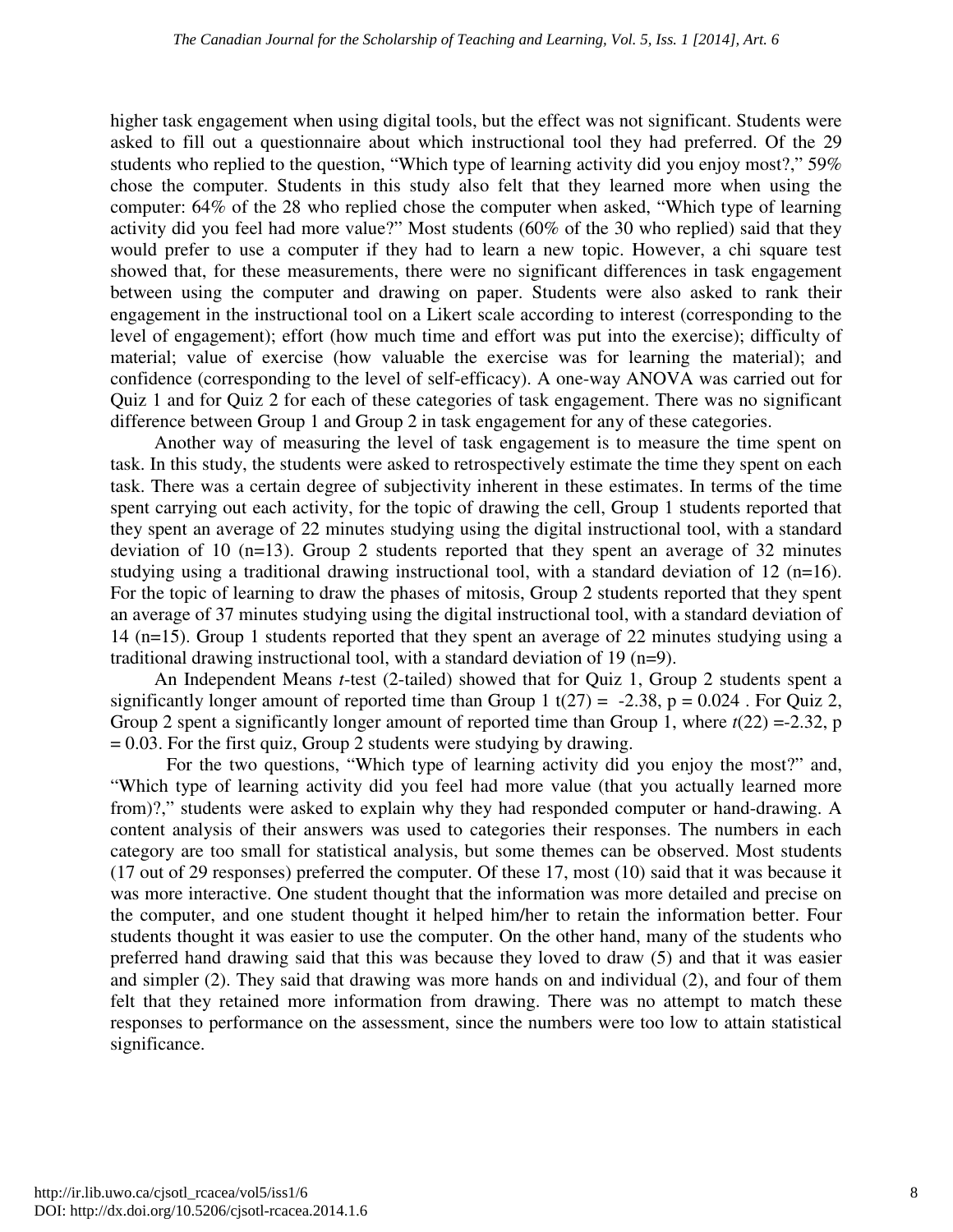higher task engagement when using digital tools, but the effect was not significant. Students were asked to fill out a questionnaire about which instructional tool they had preferred. Of the 29 students who replied to the question, "Which type of learning activity did you enjoy most?," 59% chose the computer. Students in this study also felt that they learned more when using the computer: 64% of the 28 who replied chose the computer when asked, "Which type of learning activity did you feel had more value?" Most students (60% of the 30 who replied) said that they would prefer to use a computer if they had to learn a new topic. However, a chi square test showed that, for these measurements, there were no significant differences in task engagement between using the computer and drawing on paper. Students were also asked to rank their engagement in the instructional tool on a Likert scale according to interest (corresponding to the level of engagement); effort (how much time and effort was put into the exercise); difficulty of material; value of exercise (how valuable the exercise was for learning the material); and confidence (corresponding to the level of self-efficacy). A one-way ANOVA was carried out for Quiz 1 and for Quiz 2 for each of these categories of task engagement. There was no significant difference between Group 1 and Group 2 in task engagement for any of these categories.

Another way of measuring the level of task engagement is to measure the time spent on task. In this study, the students were asked to retrospectively estimate the time they spent on each task. There was a certain degree of subjectivity inherent in these estimates. In terms of the time spent carrying out each activity, for the topic of drawing the cell, Group 1 students reported that they spent an average of 22 minutes studying using the digital instructional tool, with a standard deviation of 10 (n=13). Group 2 students reported that they spent an average of 32 minutes studying using a traditional drawing instructional tool, with a standard deviation of 12 (n=16). For the topic of learning to draw the phases of mitosis, Group 2 students reported that they spent an average of 37 minutes studying using the digital instructional tool, with a standard deviation of 14 (n=15). Group 1 students reported that they spent an average of 22 minutes studying using a traditional drawing instructional tool, with a standard deviation of 19 (n=9).

An Independent Means *t*-test (2-tailed) showed that for Quiz 1, Group 2 students spent a significantly longer amount of reported time than Group 1 t( $27$ ) = -2.38, p = 0.024. For Quiz 2, Group 2 spent a significantly longer amount of reported time than Group 1, where  $t(22) = -2.32$ , p  $= 0.03$ . For the first quiz, Group 2 students were studying by drawing.

For the two questions, "Which type of learning activity did you enjoy the most?" and, "Which type of learning activity did you feel had more value (that you actually learned more from)?," students were asked to explain why they had responded computer or hand-drawing. A content analysis of their answers was used to categories their responses. The numbers in each category are too small for statistical analysis, but some themes can be observed. Most students (17 out of 29 responses) preferred the computer. Of these 17, most (10) said that it was because it was more interactive. One student thought that the information was more detailed and precise on the computer, and one student thought it helped him/her to retain the information better. Four students thought it was easier to use the computer. On the other hand, many of the students who preferred hand drawing said that this was because they loved to draw (5) and that it was easier and simpler (2). They said that drawing was more hands on and individual (2), and four of them felt that they retained more information from drawing. There was no attempt to match these responses to performance on the assessment, since the numbers were too low to attain statistical significance.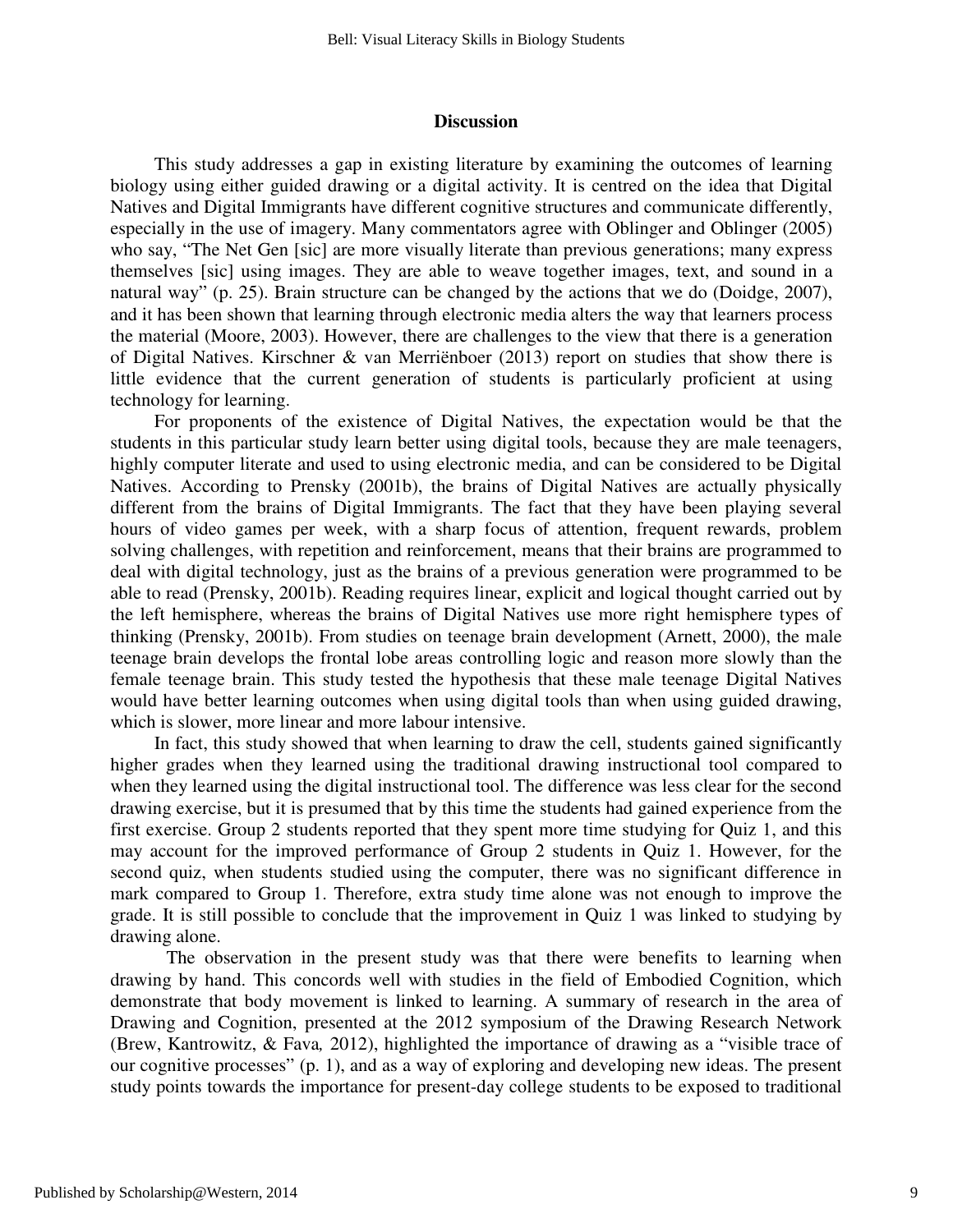#### **Discussion**

This study addresses a gap in existing literature by examining the outcomes of learning biology using either guided drawing or a digital activity. It is centred on the idea that Digital Natives and Digital Immigrants have different cognitive structures and communicate differently, especially in the use of imagery. Many commentators agree with Oblinger and Oblinger (2005) who say, "The Net Gen [sic] are more visually literate than previous generations; many express themselves [sic] using images. They are able to weave together images, text, and sound in a natural way" (p. 25). Brain structure can be changed by the actions that we do (Doidge, 2007), and it has been shown that learning through electronic media alters the way that learners process the material (Moore, 2003). However, there are challenges to the view that there is a generation of Digital Natives. Kirschner & van Merriënboer (2013) report on studies that show there is little evidence that the current generation of students is particularly proficient at using technology for learning.

For proponents of the existence of Digital Natives, the expectation would be that the students in this particular study learn better using digital tools, because they are male teenagers, highly computer literate and used to using electronic media, and can be considered to be Digital Natives. According to Prensky (2001b), the brains of Digital Natives are actually physically different from the brains of Digital Immigrants. The fact that they have been playing several hours of video games per week, with a sharp focus of attention, frequent rewards, problem solving challenges, with repetition and reinforcement, means that their brains are programmed to deal with digital technology, just as the brains of a previous generation were programmed to be able to read (Prensky, 2001b). Reading requires linear, explicit and logical thought carried out by the left hemisphere, whereas the brains of Digital Natives use more right hemisphere types of thinking (Prensky, 2001b). From studies on teenage brain development (Arnett, 2000), the male teenage brain develops the frontal lobe areas controlling logic and reason more slowly than the female teenage brain. This study tested the hypothesis that these male teenage Digital Natives would have better learning outcomes when using digital tools than when using guided drawing, which is slower, more linear and more labour intensive.

In fact, this study showed that when learning to draw the cell, students gained significantly higher grades when they learned using the traditional drawing instructional tool compared to when they learned using the digital instructional tool. The difference was less clear for the second drawing exercise, but it is presumed that by this time the students had gained experience from the first exercise. Group 2 students reported that they spent more time studying for Quiz 1, and this may account for the improved performance of Group 2 students in Quiz 1. However, for the second quiz, when students studied using the computer, there was no significant difference in mark compared to Group 1. Therefore, extra study time alone was not enough to improve the grade. It is still possible to conclude that the improvement in Quiz 1 was linked to studying by drawing alone.

The observation in the present study was that there were benefits to learning when drawing by hand. This concords well with studies in the field of Embodied Cognition, which demonstrate that body movement is linked to learning. A summary of research in the area of Drawing and Cognition, presented at the 2012 symposium of the Drawing Research Network (Brew, Kantrowitz, & Fava*,* 2012), highlighted the importance of drawing as a "visible trace of our cognitive processes" (p. 1), and as a way of exploring and developing new ideas. The present study points towards the importance for present-day college students to be exposed to traditional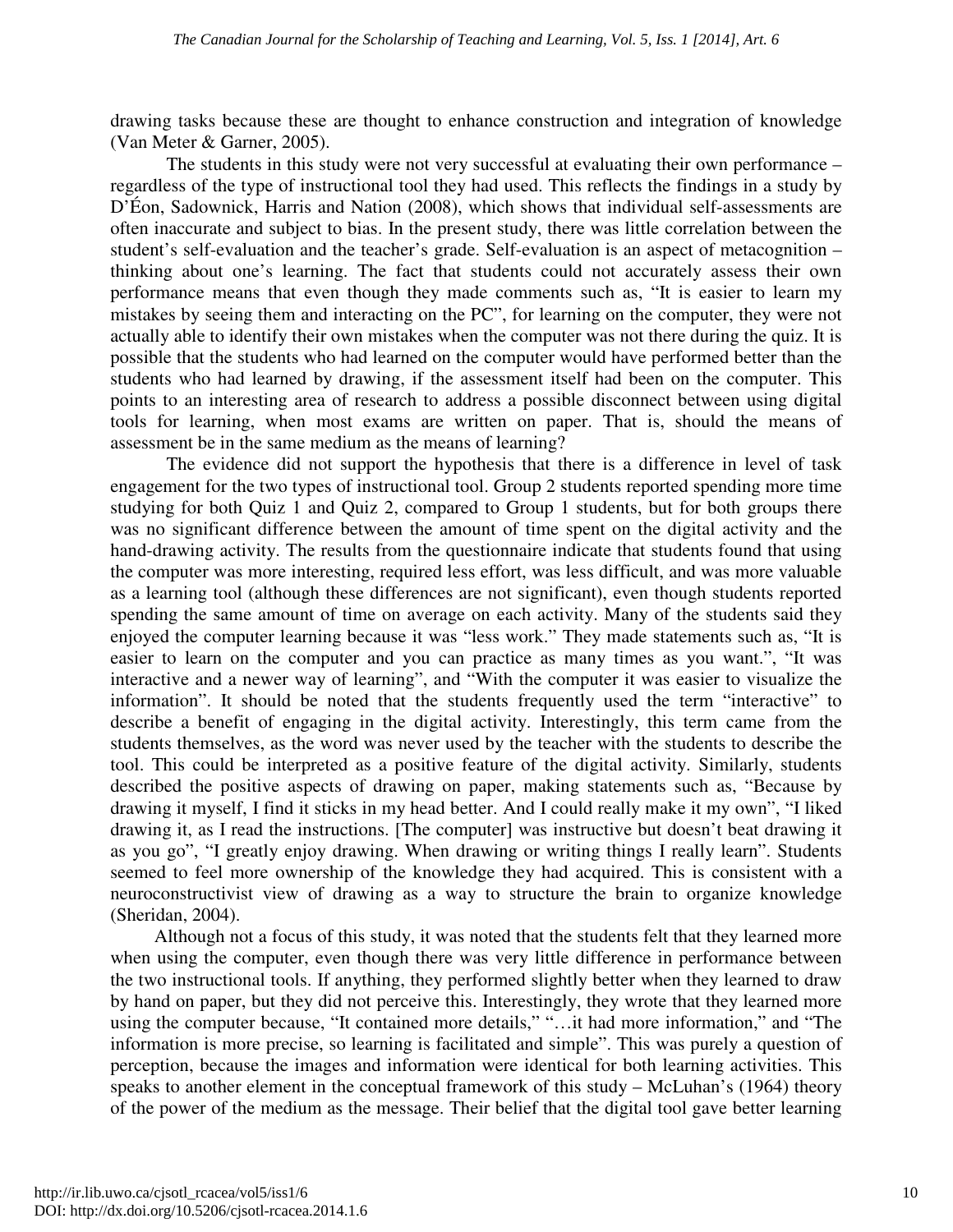drawing tasks because these are thought to enhance construction and integration of knowledge (Van Meter & Garner, 2005).

The students in this study were not very successful at evaluating their own performance – regardless of the type of instructional tool they had used. This reflects the findings in a study by D'Éon, Sadownick, Harris and Nation (2008), which shows that individual self-assessments are often inaccurate and subject to bias. In the present study, there was little correlation between the student's self-evaluation and the teacher's grade. Self-evaluation is an aspect of metacognition – thinking about one's learning. The fact that students could not accurately assess their own performance means that even though they made comments such as, "It is easier to learn my mistakes by seeing them and interacting on the PC", for learning on the computer, they were not actually able to identify their own mistakes when the computer was not there during the quiz. It is possible that the students who had learned on the computer would have performed better than the students who had learned by drawing, if the assessment itself had been on the computer. This points to an interesting area of research to address a possible disconnect between using digital tools for learning, when most exams are written on paper. That is, should the means of assessment be in the same medium as the means of learning?

The evidence did not support the hypothesis that there is a difference in level of task engagement for the two types of instructional tool. Group 2 students reported spending more time studying for both Quiz 1 and Quiz 2, compared to Group 1 students, but for both groups there was no significant difference between the amount of time spent on the digital activity and the hand-drawing activity. The results from the questionnaire indicate that students found that using the computer was more interesting, required less effort, was less difficult, and was more valuable as a learning tool (although these differences are not significant), even though students reported spending the same amount of time on average on each activity. Many of the students said they enjoyed the computer learning because it was "less work." They made statements such as, "It is easier to learn on the computer and you can practice as many times as you want.", "It was interactive and a newer way of learning", and "With the computer it was easier to visualize the information". It should be noted that the students frequently used the term "interactive" to describe a benefit of engaging in the digital activity. Interestingly, this term came from the students themselves, as the word was never used by the teacher with the students to describe the tool. This could be interpreted as a positive feature of the digital activity. Similarly, students described the positive aspects of drawing on paper, making statements such as, "Because by drawing it myself, I find it sticks in my head better. And I could really make it my own", "I liked drawing it, as I read the instructions. [The computer] was instructive but doesn't beat drawing it as you go", "I greatly enjoy drawing. When drawing or writing things I really learn". Students seemed to feel more ownership of the knowledge they had acquired. This is consistent with a neuroconstructivist view of drawing as a way to structure the brain to organize knowledge (Sheridan, 2004).

Although not a focus of this study, it was noted that the students felt that they learned more when using the computer, even though there was very little difference in performance between the two instructional tools. If anything, they performed slightly better when they learned to draw by hand on paper, but they did not perceive this. Interestingly, they wrote that they learned more using the computer because, "It contained more details," "…it had more information," and "The information is more precise, so learning is facilitated and simple". This was purely a question of perception, because the images and information were identical for both learning activities. This speaks to another element in the conceptual framework of this study – McLuhan's (1964) theory of the power of the medium as the message. Their belief that the digital tool gave better learning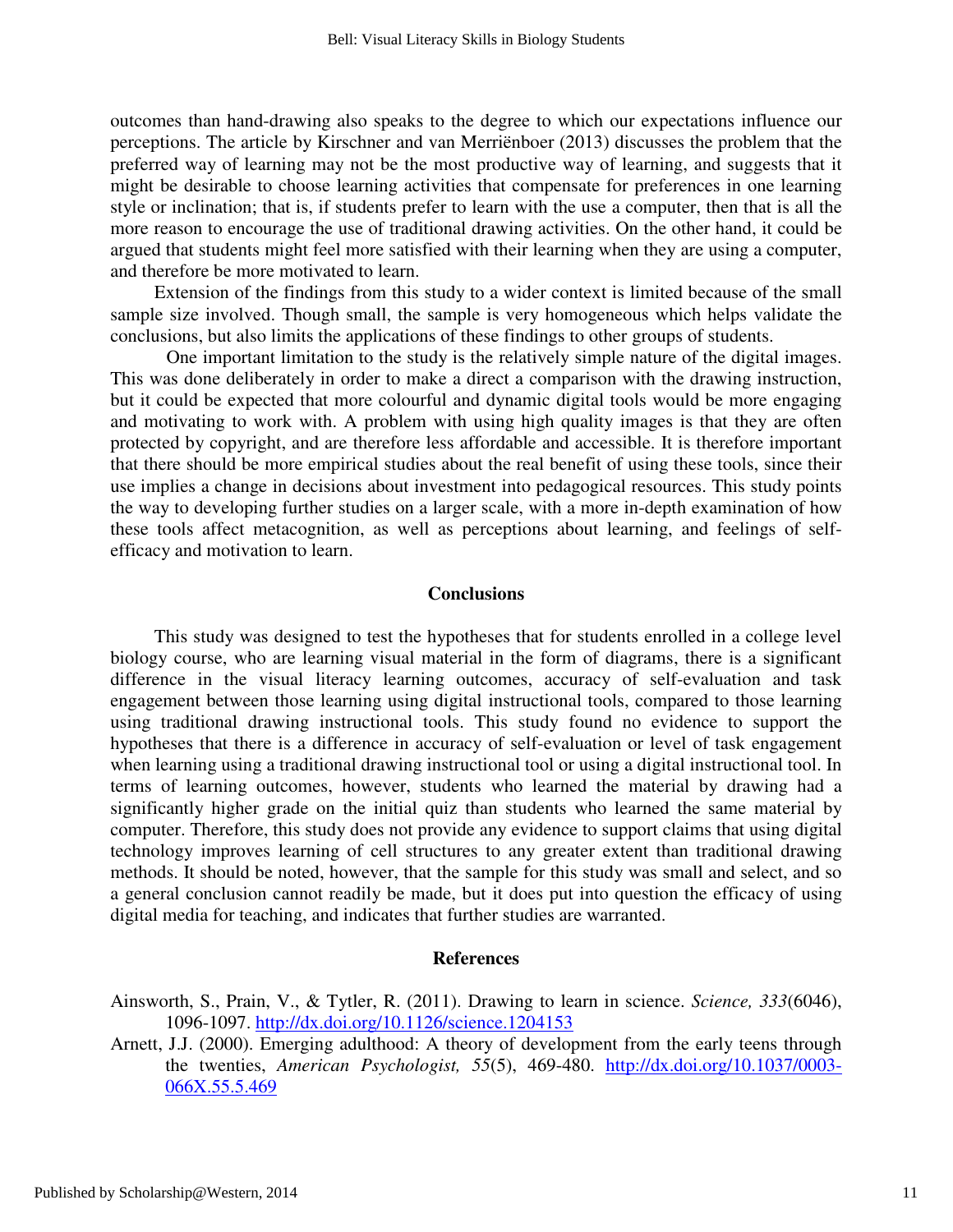outcomes than hand-drawing also speaks to the degree to which our expectations influence our perceptions. The article by Kirschner and van Merriënboer (2013) discusses the problem that the preferred way of learning may not be the most productive way of learning, and suggests that it might be desirable to choose learning activities that compensate for preferences in one learning style or inclination; that is, if students prefer to learn with the use a computer, then that is all the more reason to encourage the use of traditional drawing activities. On the other hand, it could be argued that students might feel more satisfied with their learning when they are using a computer, and therefore be more motivated to learn.

Extension of the findings from this study to a wider context is limited because of the small sample size involved. Though small, the sample is very homogeneous which helps validate the conclusions, but also limits the applications of these findings to other groups of students.

One important limitation to the study is the relatively simple nature of the digital images. This was done deliberately in order to make a direct a comparison with the drawing instruction, but it could be expected that more colourful and dynamic digital tools would be more engaging and motivating to work with. A problem with using high quality images is that they are often protected by copyright, and are therefore less affordable and accessible. It is therefore important that there should be more empirical studies about the real benefit of using these tools, since their use implies a change in decisions about investment into pedagogical resources. This study points the way to developing further studies on a larger scale, with a more in-depth examination of how these tools affect metacognition, as well as perceptions about learning, and feelings of selfefficacy and motivation to learn.

#### **Conclusions**

This study was designed to test the hypotheses that for students enrolled in a college level biology course, who are learning visual material in the form of diagrams, there is a significant difference in the visual literacy learning outcomes, accuracy of self-evaluation and task engagement between those learning using digital instructional tools, compared to those learning using traditional drawing instructional tools. This study found no evidence to support the hypotheses that there is a difference in accuracy of self-evaluation or level of task engagement when learning using a traditional drawing instructional tool or using a digital instructional tool. In terms of learning outcomes, however, students who learned the material by drawing had a significantly higher grade on the initial quiz than students who learned the same material by computer. Therefore, this study does not provide any evidence to support claims that using digital technology improves learning of cell structures to any greater extent than traditional drawing methods. It should be noted, however, that the sample for this study was small and select, and so a general conclusion cannot readily be made, but it does put into question the efficacy of using digital media for teaching, and indicates that further studies are warranted.

#### **References**

- Ainsworth, S., Prain, V., & Tytler, R. (2011). Drawing to learn in science. *Science, 333*(6046), 1096-1097. http://dx.doi.org/10.1126/science.1204153
- Arnett, J.J. (2000). Emerging adulthood: A theory of development from the early teens through the twenties, *American Psychologist, 55*(5), 469-480. http://dx.doi.org/10.1037/0003- 066X.55.5.469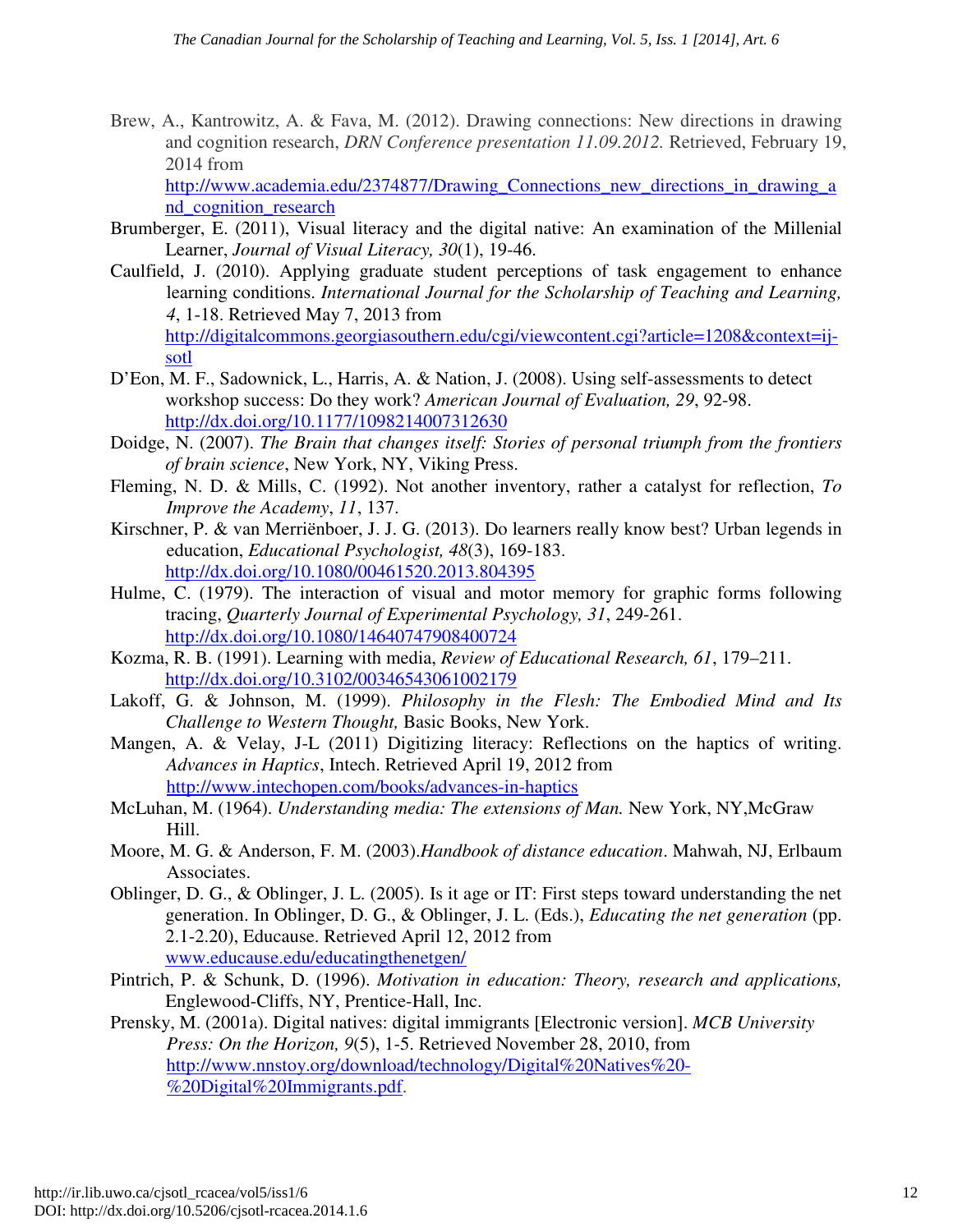Brew, A., Kantrowitz, A. & Fava, M. (2012). Drawing connections: New directions in drawing and cognition research, *DRN Conference presentation 11.09.2012.* Retrieved, February 19, 2014 from

http://www.academia.edu/2374877/Drawing\_Connections\_new\_directions\_in\_drawing\_a nd\_cognition\_research

- Brumberger, E. (2011), Visual literacy and the digital native: An examination of the Millenial Learner, *Journal of Visual Literacy, 30*(1), 19-46.
- Caulfield, J. (2010). Applying graduate student perceptions of task engagement to enhance learning conditions. *International Journal for the Scholarship of Teaching and Learning, 4*, 1-18. Retrieved May 7, 2013 from http://digitalcommons.georgiasouthern.edu/cgi/viewcontent.cgi?article=1208&context=ijsotl
- D'Eon, M. F., Sadownick, L., Harris, A. & Nation, J. (2008). Using self-assessments to detect workshop success: Do they work? *American Journal of Evaluation, 29*, 92-98. http://dx.doi.org/10.1177/1098214007312630
- Doidge, N. (2007). *The Brain that changes itself: Stories of personal triumph from the frontiers of brain science*, New York, NY, Viking Press.
- Fleming, N. D. & Mills, C. (1992). Not another inventory, rather a catalyst for reflection, *To Improve the Academy*, *11*, 137.
- Kirschner, P. & van Merriënboer, J. J. G. (2013). Do learners really know best? Urban legends in education, *Educational Psychologist, 48*(3), 169-183. http://dx.doi.org/10.1080/00461520.2013.804395
- Hulme, C. (1979). The interaction of visual and motor memory for graphic forms following tracing, *Quarterly Journal of Experimental Psychology, 31*, 249-261. http://dx.doi.org/10.1080/14640747908400724
- Kozma, R. B. (1991). Learning with media, *Review of Educational Research, 61*, 179–211. http://dx.doi.org/10.3102/00346543061002179
- Lakoff, G. & Johnson, M. (1999). *Philosophy in the Flesh: The Embodied Mind and Its Challenge to Western Thought,* Basic Books, New York.
- Mangen, A. & Velay, J-L (2011) Digitizing literacy: Reflections on the haptics of writing. *Advances in Haptics*, Intech. Retrieved April 19, 2012 from http://www.intechopen.com/books/advances-in-haptics
- McLuhan, M. (1964). *Understanding media: The extensions of Man.* New York, NY,McGraw Hill.
- Moore, M. G. & Anderson, F. M. (2003).*Handbook of distance education*. Mahwah, NJ, Erlbaum Associates.
- Oblinger, D. G., & Oblinger, J. L. (2005). Is it age or IT: First steps toward understanding the net generation. In Oblinger, D. G., & Oblinger, J. L. (Eds.), *Educating the net generation* (pp. 2.1-2.20), Educause. Retrieved April 12, 2012 from www.educause.edu/educatingthenetgen/
- Pintrich, P. & Schunk, D. (1996). *Motivation in education: Theory, research and applications,*  Englewood-Cliffs, NY, Prentice-Hall, Inc.
- Prensky, M. (2001a). Digital natives: digital immigrants [Electronic version]. *MCB University Press: On the Horizon, 9*(5), 1-5. Retrieved November 28, 2010, from http://www.nnstoy.org/download/technology/Digital%20Natives%20- %20Digital%20Immigrants.pdf.